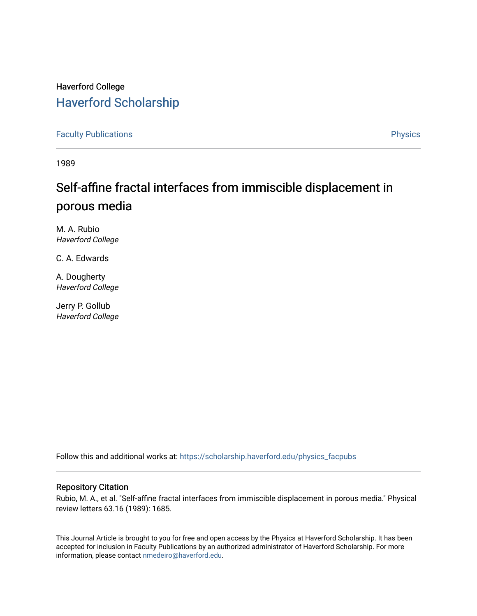## Haverford College [Haverford Scholarship](https://scholarship.haverford.edu/)

[Faculty Publications](https://scholarship.haverford.edu/physics_facpubs) **Physics** 

1989

## Self-affine fractal interfaces from immiscible displacement in porous media

M. A. Rubio Haverford College

C. A. Edwards

A. Dougherty Haverford College

Jerry P. Gollub Haverford College

Follow this and additional works at: [https://scholarship.haverford.edu/physics\\_facpubs](https://scholarship.haverford.edu/physics_facpubs?utm_source=scholarship.haverford.edu%2Fphysics_facpubs%2F71&utm_medium=PDF&utm_campaign=PDFCoverPages) 

## Repository Citation

Rubio, M. A., et al. "Self-affine fractal interfaces from immiscible displacement in porous media." Physical review letters 63.16 (1989): 1685.

This Journal Article is brought to you for free and open access by the Physics at Haverford Scholarship. It has been accepted for inclusion in Faculty Publications by an authorized administrator of Haverford Scholarship. For more information, please contact [nmedeiro@haverford.edu.](mailto:nmedeiro@haverford.edu)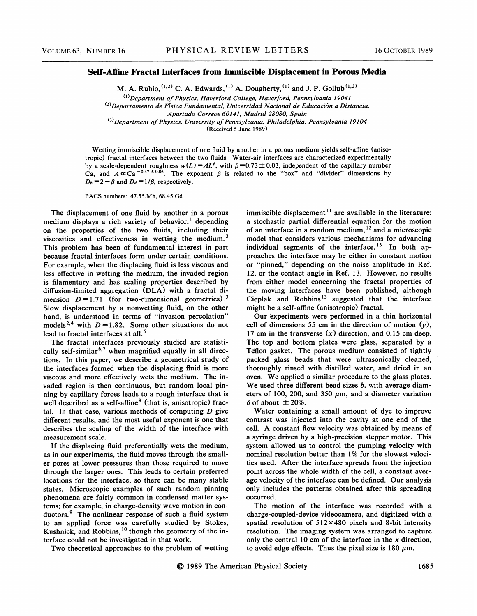## Self-Affine Fractal Interfaces from Immiscible Displacement in Porous Media

M. A. Rubio,  $(1, 2)$  C. A. Edwards,  $(1)$  A. Dougherty,  $(1)$  and J. P. Gollub $(1, 3)$ 

 $<sup>(1)</sup>$  Department of Physics, Haverford College, Haverford, Pennsylvania 19041</sup>  $^{(2)}$ Departamento de Física Fundamental, Universidad Nacional de Educación a Distancia,

 $^{(3)}$ Department of Physics, University of Pennsylvania, Philadelphia, Pennsylvania 19104

(Received 5 June 1989)

Wetting immiscible displacement of one ffuid by another in a porous medium yields self-affine (anisotropic) fractal interfaces between the two ffuids. Water-air interfaces are characterized experimentally by a scale-dependent roughness  $w(L) = AL^{\beta}$ , with  $\beta = 0.73 \pm 0.03$ , independent of the capillary number Ca, and  $A \propto Ca^{-0.47 \pm 0.06}$ . The exponent  $\beta$  is related to the "box" and "divider" dimensions by  $D_b = 2 - \beta$  and  $D_d = 1/\beta$ , respectively.

PACS numbers: 47.55.Mh, 68.45.Gd

The displacement of one fluid by another in a porous medium displays a rich variety of behavior,<sup>1</sup> dependin on the properties of the two Auids, including their viscosities and effectiveness in wetting the medium.<sup>2</sup> This problem has been of fundamental interest in part because fractal interfaces form under certain conditions. For example, when the displacing fluid is less viscous and less effective in wetting the medium, the invaded region is filamentary and has scaling properties described by diffusion-limited aggregation (DLA) with a fractal dimension  $D = 1.71$  (for two-dimensional geometries).<sup>3</sup> Slow displacement by a nonwetting Auid, on the other hand, is understood in terms of "invasion percolation" models<sup>2,4</sup> with  $D = 1.82$ . Some other situations do not lead to fractal interfaces at all.<sup>5</sup>

The fractal interfaces previously studied are statistically self-similar<sup>6,7</sup> when magnified equally in all directions. In this paper, we describe a geometrical study of the interfaces formed when the displacing Auid is more viscous and more effectively wets the medium. The invaded region is then continuous, but random local pinning by capillary forces leads to a rough interface that is well described as a self-affine<sup>8</sup> (that is, anisotropic) fractal. In that case, various methods of computing  $D$  give different results, and the most useful exponent is one that describes the scaling of the width of the interface with measurement scale.

If the displacing fluid preferentially wets the medium, as in our experiments, the fluid moves through the smaller pores at lower pressures than those required to move through the larger ones. This leads to certain preferred locations for the interface, so there can be many stable states. Microscopic examples of such random pinning phenomena are fairly common in condensed matter systems; for example, in charge-density wave motion in conductors.<sup>9</sup> The nonlinear response of such a fluid system to an applied force was carefully studied by Stokes, Kushnick, and Robbins, <sup>10</sup> though the geometry of the interface could not be investigated in that work.

Two theoretical approaches to the problem of wetting

immiscible displacement<sup>11</sup> are available in the literature: a stochastic partial differential equation for the motion of an interface in a random medium,  $^{12}$  and a microscopic model that considers various mechanisms for advancing ndividual segments of the interface.<sup>13</sup> In both approaches the interface may be either in constant motion or "pinned," depending on the noise amplitude in Ref. 12, or the contact angle in Ref. 13. However, no results from either model concerning the fractal properties of the moving interfaces have been published, although Cieplak and Robbins<sup>13</sup> suggested that the interface might be a self-affine (anisotropic) fractal.

Our experiments were performed in a thin horizontal cell of dimensions 55 cm in the direction of motion  $(y)$ , 17 cm in the transverse  $(x)$  direction, and 0.15 cm deep. The top and bottom plates were glass, separated by a Teflon gasket. The porous medium consisted of tightly packed glass beads that were ultrasonically cleaned, thoroughly rinsed with distilled water, and dried in an oven. We applied a similar procedure to the glass plates. We used three different bead sizes  $b$ , with average diameters of 100, 200, and 350  $\mu$ m, and a diameter variation  $\delta$  of about  $\pm$  20%.

Water containing a small amount of dye to improve contrast was injected into the cavity at one end of the cell. A constant flow velocity was obtained by means of a syringe driven by a high-precision stepper motor. This system allowed us to control the pumping velocity with nominal resolution better than 1% for the slowest velocities used. After the interface spreads from the injection point across the whole width of the cell, a constant average velocity of the interface can be defined. Our analysis only includes the patterns obtained after this spreading occurred.

The motion of the interface was recorded with a charge-coupled-device videocamera, and digitized with a spatial resolution of 512x480 pixels and 8-bit intensity resolution. The imaging system was arranged to capture only the central 10 cm of the interface in the  $x$  direction, to avoid edge effects. Thus the pixel size is 180  $\mu$ m.

Apartado Correos 60141, Madrid 28080, Spain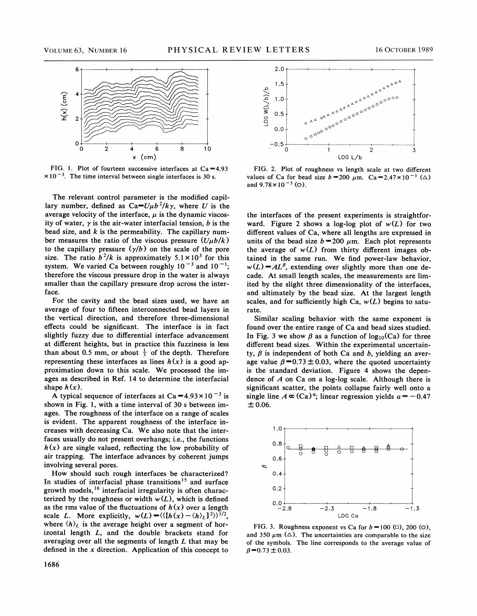

FIG. 1. Plot of fourteen successive interfaces at  $Ca = 4.93$  $\times$ 10<sup>-3</sup>. The time interval between single interfaces is 30 s.

The relevant control parameter is the modified capillary number, defined as  $Ca = U \mu b^2 / k \gamma$ , where U is the average velocity of the interface,  $\mu$  is the dynamic viscosity of water,  $\gamma$  is the air-water interfacial tension, b is the bead size, and  $k$  is the permeability. The capillary number measures the ratio of the viscous pressure  $(U\mu b/k)$ to the capillary pressure  $(\gamma/b)$  on the scale of the pore size. The ratio  $b^2/k$  is approximately  $5.1 \times 10^3$  for this system. We varied Ca between roughly  $10^{-3}$  and  $10^{-1}$ ; therefore the viscous pressure drop in the water is always smaller than the capillary pressure drop across the interface.

For the cavity and the bead sizes used, we have an average of four to fifteen interconnected bead layers in the vertical direction, and therefore three-dimensional effects could be significant. The interface is in fact slightly fuzzy due to differential interface advancement at different heights, but in practice this fuzziness is less than about 0.5 mm, or about  $\frac{1}{3}$  of the depth. Therefore representing these interfaces as lines  $h(x)$  is a good approximation down to this scale. We processed the images as described in Ref. 14 to determine the interfacial shape  $h(x)$ .

A typical sequence of interfaces at Ca =  $4.93 \times 10^{-3}$  is shown in Fig. 1, with a time interval of 30 s between images. The roughness of the interface on a range of scales is evident. The apparent roughness of the interface increases with decreasing Ca. We also note that the interfaces usually do not present overhangs; i.e., the functions  $h(x)$  are single valued, reflecting the low probability of air trapping. The interface advances by coherent jumps involving several pores.

How should such rough interfaces be characterized? In studies of interfacial phase transitions<sup>15</sup> and surface growth models, <sup>16</sup> interfacial irregularity is often characterized by the roughness or width  $w(L)$ , which is defined as the rms value of the fluctuations of  $h(x)$  over a length scale L. More explicitly,  $w(L) = \langle (h(x) - \langle h \rangle_L)^2 \rangle^{1/2}$ , where  $\langle h \rangle_L$  is the average height over a segment of horizontal length L, and the double brackets stand for averaging over all the segments of length  $L$  that may be defined in the  $x$  direction. Application of this concept to



FIG. 2. Plot of roughness vs length scale at two diferent values of Ca for bead size  $b = 200 \mu$ m. Ca=2.47×10<sup>-3</sup> ( $\triangle$ ) and  $9.78 \times 10^{-3}$  (O).

the interfaces of the present experiments is straightforward. Figure 2 shows a log-log plot of  $w(L)$  for two different values of Ca, where all lengths are expressed in units of the bead size  $b = 200 \mu m$ . Each plot represents the average of  $w(L)$  from thirty different images obtained in the same run. We find power-law behavior,  $w(L) = AL^{\beta}$ , extending over slightly more than one decade. At small length scales, the measurements are limited by the slight three dimensionality of the interfaces, and ultimately by the bead size. At the largest length scales, and for sufficiently high Ca,  $w(L)$  begins to saturate.

Similar scaling behavior with the same exponent is found over the entire range of Ca and bead sizes studied. In Fig. 3 we show  $\beta$  as a function of log<sub>10</sub>(Ca) for three different bead sizes. Within the experimental uncertainty,  $\beta$  is independent of both Ca and b, yielding an average value  $\beta = 0.73 \pm 0.03$ , where the quoted uncertainty is the standard deviation. Figure 4 shows the dependence of  $A$  on Ca on a log-log scale. Although there is significant scatter, the points collapse fairly well onto a single line  $A \propto (Ca)^{\alpha}$ ; linear regression yields  $\alpha = -0.47$  $± 0.06.$ 



FIG. 3. Roughness exponent vs Ca for  $b = 100$  ( $\Box$ ), 200 ( $\Diamond$ ), and 350  $\mu$ m ( $\Delta$ ). The uncertainties are comparable to the size of the symbols. The line corresponds to the average value of  $\beta = 0.73 \pm 0.03$ .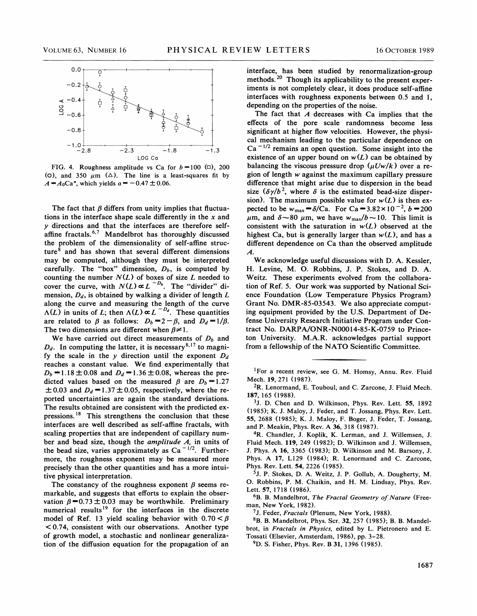

FIG. 4. Roughness amplitude vs Ca for  $b = 100$  ( $\Box$ ), 200 (0), and 350  $\mu$ m ( $\Delta$ ). The line is a least-squares fit by  $A = A_0$ Ca<sup> $\alpha$ </sup>, which yields  $\alpha = -0.47 \pm 0.06$ .

The fact that  $\beta$  differs from unity implies that fluctuations in the interface shape scale differently in the  $x$  and y directions and that the interfaces are therefore selfaffine fractals.  $6.7$  Mandelbrot has thoroughly discussed the problem of the dimensionality of self-affine structure $<sup>8</sup>$  and has shown that several different dimensions</sup> may be computed, although they must be interpreted carefully. The "box" dimension,  $D_b$ , is computed by counting the number  $N(L)$  of boxes of size L needed to counting the number  $N(\Sigma)$  of bother of size E hectric to cover the curve, with  $N(L) \propto L^{-D_b}$ . The "divider" dimension,  $D_d$ , is obtained by walking a divider of length  $L$ . along the curve and measuring the length of the curve  $\Lambda(L)$  in units of L; then  $\Lambda(L) \propto L^{-D_d}$ . These quantities are related to  $\beta$  as follows:  $D_b = 2 - \beta$ , and  $D_d = 1/\beta$ . The two dimensions are different when  $\beta \neq 1$ .

We have carried out direct measurements of  $D<sub>b</sub>$  and  $D_d$ . In computing the latter, it is necessary<sup>8,17</sup> to magnify the scale in the y direction until the exponent  $D_d$ reaches a constant value. We find experimentally that  $D_b = 1.18 \pm 0.08$  and  $D_d = 1.36 \pm 0.08$ , whereas the predicted values based on the measured  $\beta$  are  $D_b = 1.27$  $\pm$  0.03 and  $D_d = 1.37 \pm 0.05$ , respectively, where the reported uncertainties are again the standard deviations. The results obtained are consistent with the predicted expressions.  $18$  This strengthens the conclusion that these interfaces are well described as self-aftine fractals, with scaling properties that are independent of capillary number and bead size, though the *amplitude A*, in units of the bead size, varies approximately as Ca<sup>-1/2</sup>. Furthermore, the roughness exponent may be measured more precisely than the other quantities and has a more intuitive physical interpretation.

The constancy of the roughness exponent  $\beta$  seems remarkable, and suggests that efforts to explain the observation  $\beta = 0.73 \pm 0.03$  may be worthwhile. Preliminary numerical results<sup>19</sup> for the interfaces in the discrete model of Ref. 13 yield scaling behavior with  $0.70 < \beta < 0.74$ , consistent with our observations. Another type of growth model, a stochastic and nonlinear generalization of the diffusion equation for the propagation of an interface, has been studied by renormalization-group methods.<sup>20</sup> Though its applicability to the present experiments is not completely clear, it does produce self-affine interfaces with roughness exponents between 0.5 and 1, depending on the properties of the noise.

The fact that  $A$  decreases with Ca implies that the effects of the pore scale randomness become less significant at higher flow velocities. However, the physical mechanism leading to the particular dependence on  $Ca^{-1/2}$  remains an open question. Some insight into the existence of an upper bound on  $w(L)$  can be obtained by balancing the viscous pressure drop  $(\mu Uw/k)$  over a region of length w against the maximum capillary pressure difference that might arise due to dispersion in the bead size  $(\delta \gamma/b^2$ , where  $\delta$  is the estimated bead-size dispersion). The maximum possible value for  $w(L)$  is then expected to be  $w_{\text{max}} = \delta/Ca$ . For Ca = 3.82×10<sup>-2</sup>, b = 200  $\mu$ m, and  $\delta$  ~80  $\mu$ m, we have  $w_{\text{max}}/b$  ~10. This limit is consistent with the saturation in  $w(L)$  observed at the highest Ca, but is generally larger than  $w(L)$ , and has a different dependence on Ca than the observed amplitude A.

We acknowledge useful discussions with B.A. Kessler, H. Levine, M. O. Robbins, J. P. Stokes, and B. A. Weitz. These experiments evolved from the collaboration of Ref. 5. Our work was supported by National Science Foundation (Low Temperature Physics Program) Grant No. BMR-85-03543. We also appreciate computing equipment provided by the U.S. Bepartment of Defense University Research Initiative Program under Contract No. DARPA/ONR-N00014-85-K-0759 to Princeton University. M.A.R. acknowledges partial support from a fellowship of the NATO Scientific Committee.

<sup>1</sup>For a recent review, see G. M. Homsy, Annu. Rev. Fluid Mech. 19, 271 (1987).

 ${}^{2}R$ . Lenormand, E. Touboul, and C. Zarcone, J. Fluid Mech. 187, 165 (19SS).

<sup>3</sup>J. D. Chen and D. Wilkinson, Phys. Rev. Lett. 55, 1892 (1985); K. J. Maloy, J. Feder, and T. Jossang, Phys. Rev. Lett. 55, 2688 (1985); K. J. Maloy, F. Boger, J. Feder, T. Jossang, and P. Meakin, Phys. Rev. A 36, 318 (1987).

4R. Chandler, J. Koplik, K. Lerman, and J. Willemsen, J. Fluid Mech. 119, 249 (1982); D. Wilkinson and J. Willemsen, J. Phys. A 16, 3365 (1983); D. Wilkinson and M. Barsony, J. Phys. A 17, L129 (1984); R. Lenormand and C. Zarcone, Phys. Rev. Lett. 54, 2226 (1985).

5J. P. Stokes, D. A. Weitz, J. P. Gollub, A. Dougherty, M. O. Robbins, P. M. Chaikin, and H. M. Lindsay, Phys. Rev. Lett. 57, 1718 (1986).

 $6B.$  B. Mandelbrot, The Fractal Geometry of Nature (Freeman, New York, 1982).

<sup>7</sup>J. Feder, Fractals (Plenum, New York, 1988).

<sup>8</sup>B. B. Mandelbrot, Phys. Scr. 32, 257 (1985); B. B. Mandelbrot, in Fractals in Physics, edited by L. Pietronero and E. Tossati (Elsevier, Amsterdam, 1986), pp. 3-28.

9D. S. Fisher, Phys. Rev. B 31, 1396 (1985).